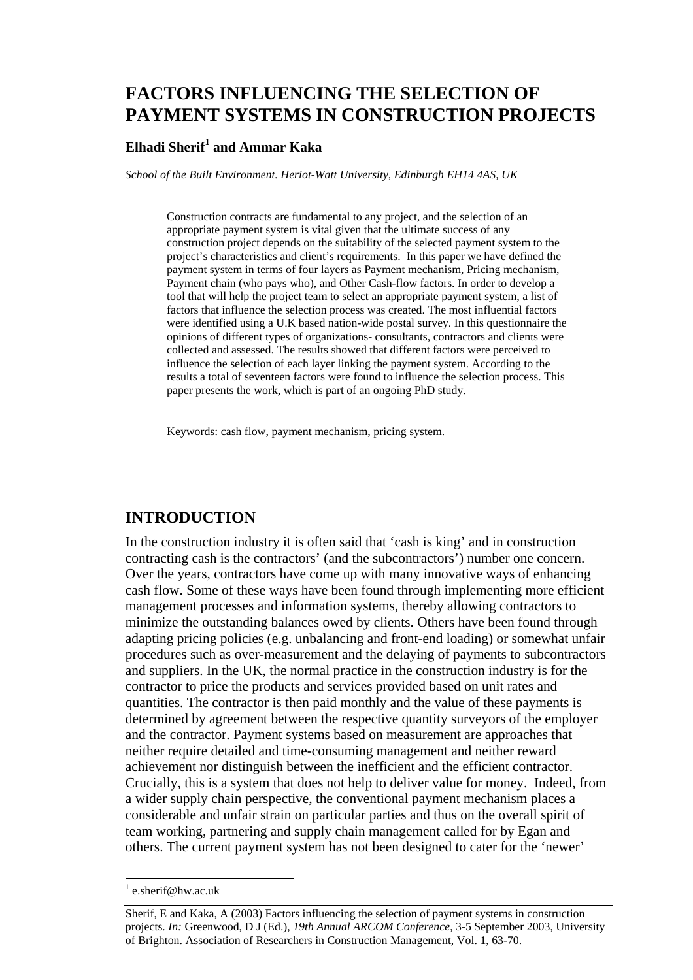# **FACTORS INFLUENCING THE SELECTION OF PAYMENT SYSTEMS IN CONSTRUCTION PROJECTS**

#### $E$ lhadi Sherif $^1$  and Ammar Kaka

*School of the Built Environment. Heriot-Watt University, Edinburgh EH14 4AS, UK* 

Construction contracts are fundamental to any project, and the selection of an appropriate payment system is vital given that the ultimate success of any construction project depends on the suitability of the selected payment system to the project's characteristics and client's requirements. In this paper we have defined the payment system in terms of four layers as Payment mechanism, Pricing mechanism, Payment chain (who pays who), and Other Cash-flow factors. In order to develop a tool that will help the project team to select an appropriate payment system, a list of factors that influence the selection process was created. The most influential factors were identified using a U.K based nation-wide postal survey. In this questionnaire the opinions of different types of organizations- consultants, contractors and clients were collected and assessed. The results showed that different factors were perceived to influence the selection of each layer linking the payment system. According to the results a total of seventeen factors were found to influence the selection process. This paper presents the work, which is part of an ongoing PhD study.

Keywords: cash flow, payment mechanism, pricing system.

## **INTRODUCTION**

In the construction industry it is often said that 'cash is king' and in construction contracting cash is the contractors' (and the subcontractors') number one concern. Over the years, contractors have come up with many innovative ways of enhancing cash flow. Some of these ways have been found through implementing more efficient management processes and information systems, thereby allowing contractors to minimize the outstanding balances owed by clients. Others have been found through adapting pricing policies (e.g. unbalancing and front-end loading) or somewhat unfair procedures such as over-measurement and the delaying of payments to subcontractors and suppliers. In the UK, the normal practice in the construction industry is for the contractor to price the products and services provided based on unit rates and quantities. The contractor is then paid monthly and the value of these payments is determined by agreement between the respective quantity surveyors of the employer and the contractor. Payment systems based on measurement are approaches that neither require detailed and time-consuming management and neither reward achievement nor distinguish between the inefficient and the efficient contractor. Crucially, this is a system that does not help to deliver value for money. Indeed, from a wider supply chain perspective, the conventional payment mechanism places a considerable and unfair strain on particular parties and thus on the overall spirit of team working, partnering and supply chain management called for by Egan and others. The current payment system has not been designed to cater for the 'newer'

<sup>&</sup>lt;sup>1</sup> e.sherif@hw.ac.uk

Sherif, E and Kaka, A (2003) Factors influencing the selection of payment systems in construction projects. *In:* Greenwood, D J (Ed.), *19th Annual ARCOM Conference*, 3-5 September 2003, University of Brighton. Association of Researchers in Construction Management, Vol. 1, 63-70.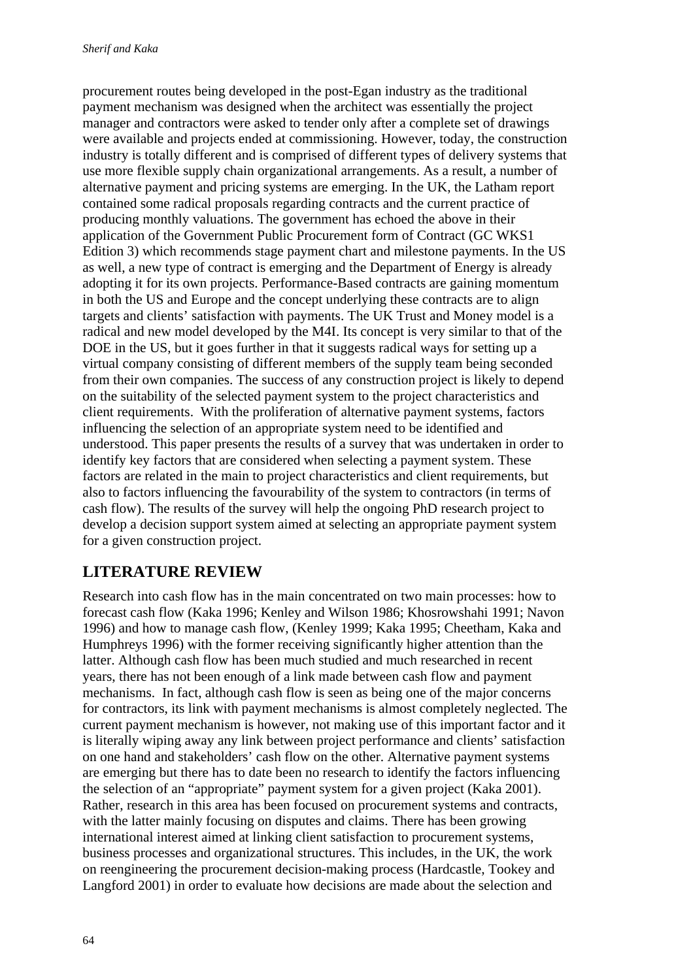procurement routes being developed in the post-Egan industry as the traditional payment mechanism was designed when the architect was essentially the project manager and contractors were asked to tender only after a complete set of drawings were available and projects ended at commissioning. However, today, the construction industry is totally different and is comprised of different types of delivery systems that use more flexible supply chain organizational arrangements. As a result, a number of alternative payment and pricing systems are emerging. In the UK, the Latham report contained some radical proposals regarding contracts and the current practice of producing monthly valuations. The government has echoed the above in their application of the Government Public Procurement form of Contract (GC WKS1 Edition 3) which recommends stage payment chart and milestone payments. In the US as well, a new type of contract is emerging and the Department of Energy is already adopting it for its own projects. Performance-Based contracts are gaining momentum in both the US and Europe and the concept underlying these contracts are to align targets and clients' satisfaction with payments. The UK Trust and Money model is a radical and new model developed by the M4I. Its concept is very similar to that of the DOE in the US, but it goes further in that it suggests radical ways for setting up a virtual company consisting of different members of the supply team being seconded from their own companies. The success of any construction project is likely to depend on the suitability of the selected payment system to the project characteristics and client requirements. With the proliferation of alternative payment systems, factors influencing the selection of an appropriate system need to be identified and understood. This paper presents the results of a survey that was undertaken in order to identify key factors that are considered when selecting a payment system. These factors are related in the main to project characteristics and client requirements, but also to factors influencing the favourability of the system to contractors (in terms of cash flow). The results of the survey will help the ongoing PhD research project to develop a decision support system aimed at selecting an appropriate payment system for a given construction project.

# **LITERATURE REVIEW**

Research into cash flow has in the main concentrated on two main processes: how to forecast cash flow (Kaka 1996; Kenley and Wilson 1986; Khosrowshahi 1991; Navon 1996) and how to manage cash flow, (Kenley 1999; Kaka 1995; Cheetham, Kaka and Humphreys 1996) with the former receiving significantly higher attention than the latter. Although cash flow has been much studied and much researched in recent years, there has not been enough of a link made between cash flow and payment mechanisms. In fact, although cash flow is seen as being one of the major concerns for contractors, its link with payment mechanisms is almost completely neglected. The current payment mechanism is however, not making use of this important factor and it is literally wiping away any link between project performance and clients' satisfaction on one hand and stakeholders' cash flow on the other. Alternative payment systems are emerging but there has to date been no research to identify the factors influencing the selection of an "appropriate" payment system for a given project (Kaka 2001). Rather, research in this area has been focused on procurement systems and contracts, with the latter mainly focusing on disputes and claims. There has been growing international interest aimed at linking client satisfaction to procurement systems, business processes and organizational structures. This includes, in the UK, the work on reengineering the procurement decision-making process (Hardcastle, Tookey and Langford 2001) in order to evaluate how decisions are made about the selection and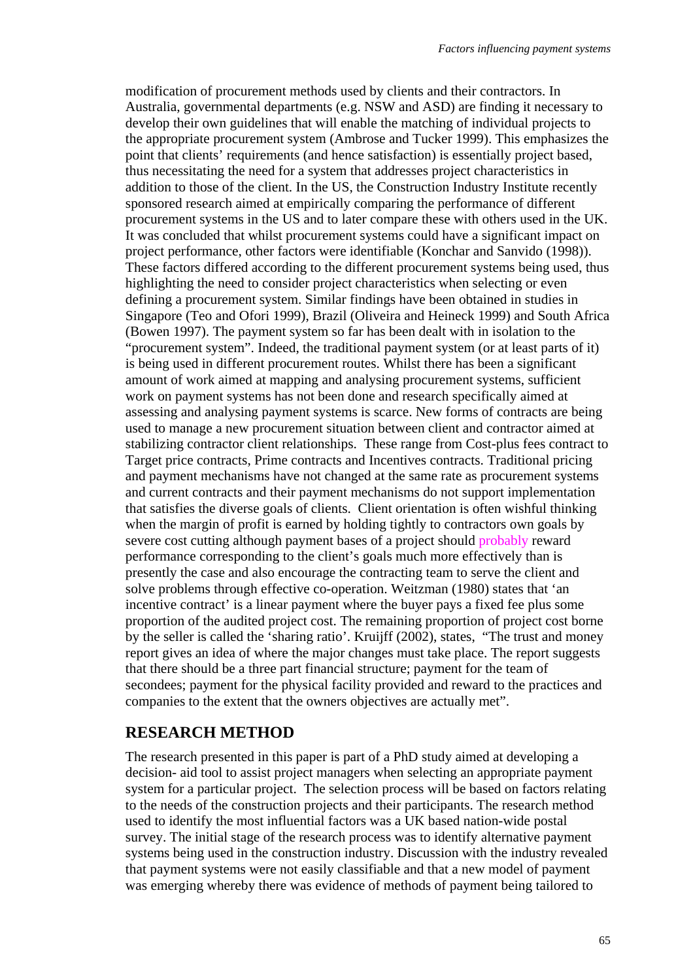modification of procurement methods used by clients and their contractors. In Australia, governmental departments (e.g. NSW and ASD) are finding it necessary to develop their own guidelines that will enable the matching of individual projects to the appropriate procurement system (Ambrose and Tucker 1999). This emphasizes the point that clients' requirements (and hence satisfaction) is essentially project based, thus necessitating the need for a system that addresses project characteristics in addition to those of the client. In the US, the Construction Industry Institute recently sponsored research aimed at empirically comparing the performance of different procurement systems in the US and to later compare these with others used in the UK. It was concluded that whilst procurement systems could have a significant impact on project performance, other factors were identifiable (Konchar and Sanvido (1998)). These factors differed according to the different procurement systems being used, thus highlighting the need to consider project characteristics when selecting or even defining a procurement system. Similar findings have been obtained in studies in Singapore (Teo and Ofori 1999), Brazil (Oliveira and Heineck 1999) and South Africa (Bowen 1997). The payment system so far has been dealt with in isolation to the "procurement system". Indeed, the traditional payment system (or at least parts of it) is being used in different procurement routes. Whilst there has been a significant amount of work aimed at mapping and analysing procurement systems, sufficient work on payment systems has not been done and research specifically aimed at assessing and analysing payment systems is scarce. New forms of contracts are being used to manage a new procurement situation between client and contractor aimed at stabilizing contractor client relationships. These range from Cost-plus fees contract to Target price contracts, Prime contracts and Incentives contracts. Traditional pricing and payment mechanisms have not changed at the same rate as procurement systems and current contracts and their payment mechanisms do not support implementation that satisfies the diverse goals of clients. Client orientation is often wishful thinking when the margin of profit is earned by holding tightly to contractors own goals by severe cost cutting although payment bases of a project should probably reward performance corresponding to the client's goals much more effectively than is presently the case and also encourage the contracting team to serve the client and solve problems through effective co-operation. Weitzman (1980) states that 'an incentive contract' is a linear payment where the buyer pays a fixed fee plus some proportion of the audited project cost. The remaining proportion of project cost borne by the seller is called the 'sharing ratio'. Kruijff (2002), states, "The trust and money report gives an idea of where the major changes must take place. The report suggests that there should be a three part financial structure; payment for the team of secondees; payment for the physical facility provided and reward to the practices and companies to the extent that the owners objectives are actually met".

#### **RESEARCH METHOD**

The research presented in this paper is part of a PhD study aimed at developing a decision- aid tool to assist project managers when selecting an appropriate payment system for a particular project. The selection process will be based on factors relating to the needs of the construction projects and their participants. The research method used to identify the most influential factors was a UK based nation-wide postal survey. The initial stage of the research process was to identify alternative payment systems being used in the construction industry. Discussion with the industry revealed that payment systems were not easily classifiable and that a new model of payment was emerging whereby there was evidence of methods of payment being tailored to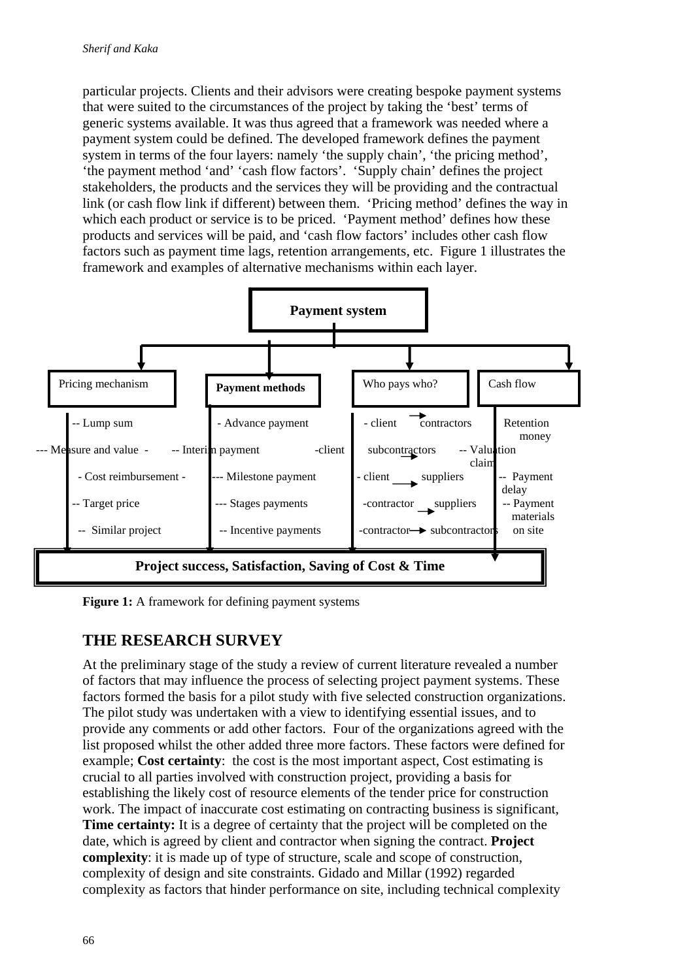particular projects. Clients and their advisors were creating bespoke payment systems that were suited to the circumstances of the project by taking the 'best' terms of generic systems available. It was thus agreed that a framework was needed where a payment system could be defined. The developed framework defines the payment system in terms of the four layers: namely 'the supply chain', 'the pricing method', 'the payment method 'and' 'cash flow factors'. 'Supply chain' defines the project stakeholders, the products and the services they will be providing and the contractual link (or cash flow link if different) between them. 'Pricing method' defines the way in which each product or service is to be priced. 'Payment method' defines how these products and services will be paid, and 'cash flow factors' includes other cash flow factors such as payment time lags, retention arrangements, etc. Figure 1 illustrates the framework and examples of alternative mechanisms within each layer.



**Figure 1:** A framework for defining payment systems

# **THE RESEARCH SURVEY**

At the preliminary stage of the study a review of current literature revealed a number of factors that may influence the process of selecting project payment systems. These factors formed the basis for a pilot study with five selected construction organizations. The pilot study was undertaken with a view to identifying essential issues, and to provide any comments or add other factors. Four of the organizations agreed with the list proposed whilst the other added three more factors. These factors were defined for example; **Cost certainty**: the cost is the most important aspect, Cost estimating is crucial to all parties involved with construction project, providing a basis for establishing the likely cost of resource elements of the tender price for construction work. The impact of inaccurate cost estimating on contracting business is significant, **Time certainty:** It is a degree of certainty that the project will be completed on the date, which is agreed by client and contractor when signing the contract. **Project complexity**: it is made up of type of structure, scale and scope of construction, complexity of design and site constraints. Gidado and Millar (1992) regarded complexity as factors that hinder performance on site, including technical complexity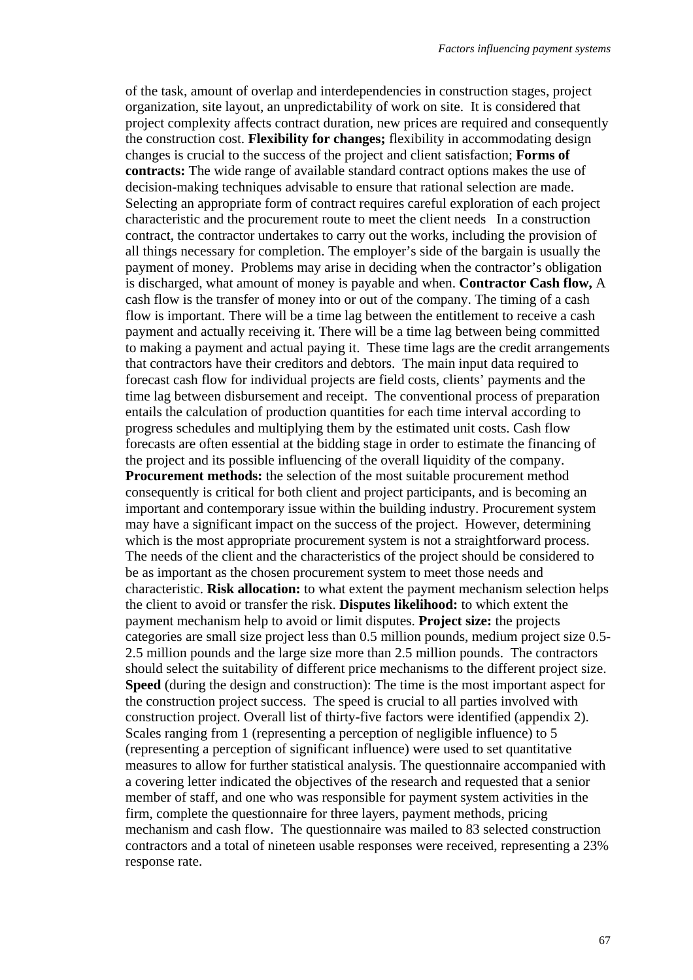of the task, amount of overlap and interdependencies in construction stages, project organization, site layout, an unpredictability of work on site. It is considered that project complexity affects contract duration, new prices are required and consequently the construction cost. **Flexibility for changes;** flexibility in accommodating design changes is crucial to the success of the project and client satisfaction; **Forms of contracts:** The wide range of available standard contract options makes the use of decision-making techniques advisable to ensure that rational selection are made. Selecting an appropriate form of contract requires careful exploration of each project characteristic and the procurement route to meet the client needs In a construction contract, the contractor undertakes to carry out the works, including the provision of all things necessary for completion. The employer's side of the bargain is usually the payment of money. Problems may arise in deciding when the contractor's obligation is discharged, what amount of money is payable and when. **Contractor Cash flow,** A cash flow is the transfer of money into or out of the company. The timing of a cash flow is important. There will be a time lag between the entitlement to receive a cash payment and actually receiving it. There will be a time lag between being committed to making a payment and actual paying it. These time lags are the credit arrangements that contractors have their creditors and debtors. The main input data required to forecast cash flow for individual projects are field costs, clients' payments and the time lag between disbursement and receipt. The conventional process of preparation entails the calculation of production quantities for each time interval according to progress schedules and multiplying them by the estimated unit costs. Cash flow forecasts are often essential at the bidding stage in order to estimate the financing of the project and its possible influencing of the overall liquidity of the company. **Procurement methods:** the selection of the most suitable procurement method consequently is critical for both client and project participants, and is becoming an important and contemporary issue within the building industry. Procurement system may have a significant impact on the success of the project. However, determining which is the most appropriate procurement system is not a straightforward process. The needs of the client and the characteristics of the project should be considered to be as important as the chosen procurement system to meet those needs and characteristic. **Risk allocation:** to what extent the payment mechanism selection helps the client to avoid or transfer the risk. **Disputes likelihood:** to which extent the payment mechanism help to avoid or limit disputes. **Project size:** the projects categories are small size project less than 0.5 million pounds, medium project size 0.5- 2.5 million pounds and the large size more than 2.5 million pounds. The contractors should select the suitability of different price mechanisms to the different project size. **Speed** (during the design and construction): The time is the most important aspect for the construction project success. The speed is crucial to all parties involved with construction project. Overall list of thirty-five factors were identified (appendix 2). Scales ranging from 1 (representing a perception of negligible influence) to 5 (representing a perception of significant influence) were used to set quantitative measures to allow for further statistical analysis. The questionnaire accompanied with a covering letter indicated the objectives of the research and requested that a senior member of staff, and one who was responsible for payment system activities in the firm, complete the questionnaire for three layers, payment methods, pricing mechanism and cash flow. The questionnaire was mailed to 83 selected construction contractors and a total of nineteen usable responses were received, representing a 23% response rate.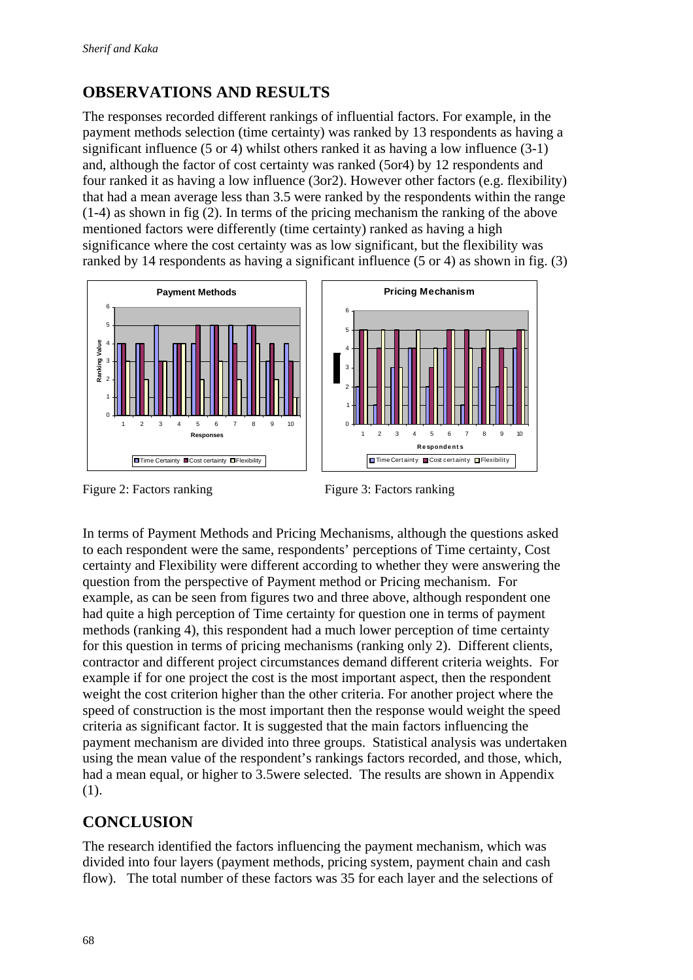# **OBSERVATIONS AND RESULTS**

The responses recorded different rankings of influential factors. For example, in the payment methods selection (time certainty) was ranked by 13 respondents as having a significant influence (5 or 4) whilst others ranked it as having a low influence (3-1) and, although the factor of cost certainty was ranked (5or4) by 12 respondents and four ranked it as having a low influence (3or2). However other factors (e.g. flexibility) that had a mean average less than 3.5 were ranked by the respondents within the range (1-4) as shown in fig (2). In terms of the pricing mechanism the ranking of the above mentioned factors were differently (time certainty) ranked as having a high significance where the cost certainty was as low significant, but the flexibility was ranked by 14 respondents as having a significant influence (5 or 4) as shown in fig. (3)





Figure 2: Factors ranking Figure 3: Factors ranking

In terms of Payment Methods and Pricing Mechanisms, although the questions asked to each respondent were the same, respondents' perceptions of Time certainty, Cost certainty and Flexibility were different according to whether they were answering the question from the perspective of Payment method or Pricing mechanism. For example, as can be seen from figures two and three above, although respondent one had quite a high perception of Time certainty for question one in terms of payment methods (ranking 4), this respondent had a much lower perception of time certainty for this question in terms of pricing mechanisms (ranking only 2). Different clients, contractor and different project circumstances demand different criteria weights. For example if for one project the cost is the most important aspect, then the respondent weight the cost criterion higher than the other criteria. For another project where the speed of construction is the most important then the response would weight the speed criteria as significant factor. It is suggested that the main factors influencing the payment mechanism are divided into three groups. Statistical analysis was undertaken using the mean value of the respondent's rankings factors recorded, and those, which, had a mean equal, or higher to 3.5were selected. The results are shown in Appendix (1).

# **CONCLUSION**

The research identified the factors influencing the payment mechanism, which was divided into four layers (payment methods, pricing system, payment chain and cash flow). The total number of these factors was 35 for each layer and the selections of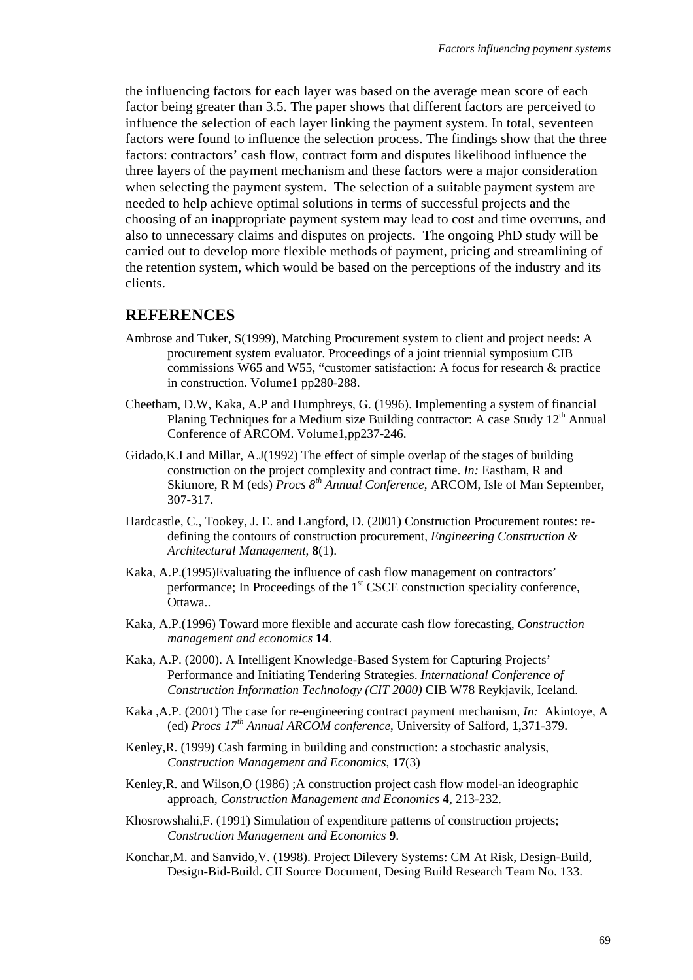the influencing factors for each layer was based on the average mean score of each factor being greater than 3.5. The paper shows that different factors are perceived to influence the selection of each layer linking the payment system. In total, seventeen factors were found to influence the selection process. The findings show that the three factors: contractors' cash flow, contract form and disputes likelihood influence the three layers of the payment mechanism and these factors were a major consideration when selecting the payment system. The selection of a suitable payment system are needed to help achieve optimal solutions in terms of successful projects and the choosing of an inappropriate payment system may lead to cost and time overruns, and also to unnecessary claims and disputes on projects. The ongoing PhD study will be carried out to develop more flexible methods of payment, pricing and streamlining of the retention system, which would be based on the perceptions of the industry and its clients.

#### **REFERENCES**

- Ambrose and Tuker, S(1999), Matching Procurement system to client and project needs: A procurement system evaluator. Proceedings of a joint triennial symposium CIB commissions W65 and W55, "customer satisfaction: A focus for research & practice in construction. Volume1 pp280-288.
- Cheetham, D.W, Kaka, A.P and Humphreys, G. (1996). Implementing a system of financial Planing Techniques for a Medium size Building contractor: A case Study  $12<sup>th</sup>$  Annual Conference of ARCOM. Volume1,pp237-246.
- Gidado,K.I and Millar, A.J(1992) The effect of simple overlap of the stages of building construction on the project complexity and contract time. *In:* Eastham, R and Skitmore, R M (eds) *Procs 8th Annual Conference*, ARCOM, Isle of Man September, 307-317.
- Hardcastle, C., Tookey, J. E. and Langford, D. (2001) Construction Procurement routes: redefining the contours of construction procurement, *Engineering Construction & Architectural Management*, **8**(1).
- Kaka, A.P.(1995)Evaluating the influence of cash flow management on contractors' performance; In Proceedings of the 1<sup>st</sup> CSCE construction speciality conference, Ottawa..
- Kaka, A.P.(1996) Toward more flexible and accurate cash flow forecasting, *Construction management and economics* **14**.
- Kaka, A.P. (2000). A Intelligent Knowledge-Based System for Capturing Projects' Performance and Initiating Tendering Strategies. *International Conference of Construction Information Technology (CIT 2000)* CIB W78 Reykjavik, Iceland.
- Kaka ,A.P. (2001) The case for re-engineering contract payment mechanism, *In:* Akintoye, A (ed) *Procs 17th Annual ARCOM conference*, University of Salford, **1**,371-379.
- Kenley,R. (1999) Cash farming in building and construction: a stochastic analysis, *Construction Management and Economics*, **17**(3)
- Kenley,R. and Wilson,O (1986) ;A construction project cash flow model-an ideographic approach, *Construction Management and Economics* **4**, 213-232.
- Khosrowshahi,F. (1991) Simulation of expenditure patterns of construction projects; *Construction Management and Economics* **9**.
- Konchar,M. and Sanvido,V. (1998). Project Dilevery Systems: CM At Risk, Design-Build, Design-Bid-Build. CII Source Document, Desing Build Research Team No. 133.